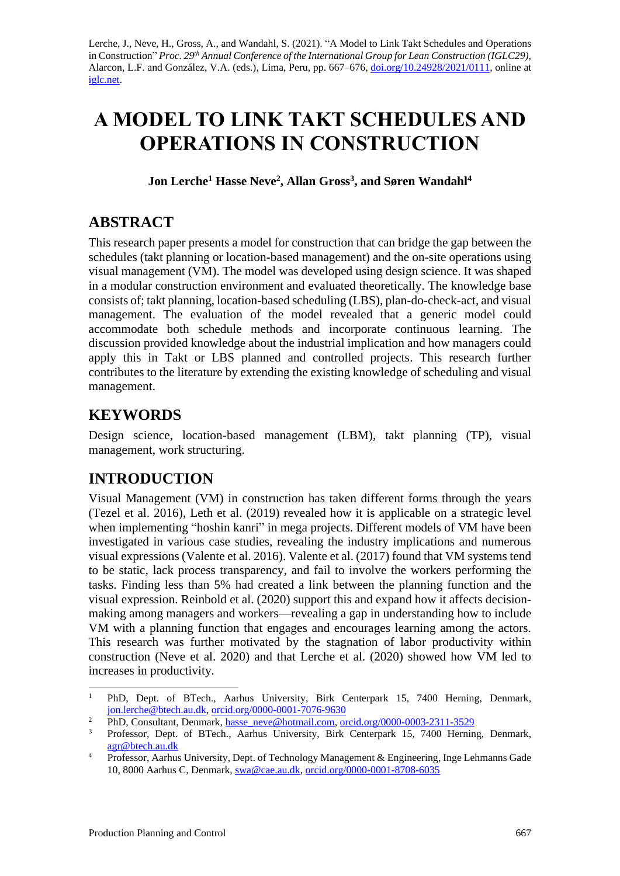Lerche, J., Neve, H., Gross, A., and Wandahl, S. (2021). "A Model to Link Takt Schedules and Operations in Construction" *Proc. 29 th Annual Conference of the International Group for Lean Construction (IGLC29),*  Alarcon, L.F. and González, V.A. (eds.)*,* Lima, Peru, pp. 667–676, [doi.org/10.24928/2021/0111,](https://doi.org/10.24928/2021/0111) online at [iglc.net.](http://iglc.net/)

# **A MODEL TO LINK TAKT SCHEDULES AND OPERATIONS IN CONSTRUCTION**

**Jon Lerche<sup>1</sup> Hasse Neve<sup>2</sup> , Allan Gross<sup>3</sup> , and Søren Wandahl<sup>4</sup>**

### **ABSTRACT**

This research paper presents a model for construction that can bridge the gap between the schedules (takt planning or location-based management) and the on-site operations using visual management (VM). The model was developed using design science. It was shaped in a modular construction environment and evaluated theoretically. The knowledge base consists of; takt planning, location-based scheduling (LBS), plan-do-check-act, and visual management. The evaluation of the model revealed that a generic model could accommodate both schedule methods and incorporate continuous learning. The discussion provided knowledge about the industrial implication and how managers could apply this in Takt or LBS planned and controlled projects. This research further contributes to the literature by extending the existing knowledge of scheduling and visual management.

### **KEYWORDS**

Design science, location-based management (LBM), takt planning (TP), visual management, work structuring.

### **INTRODUCTION**

Visual Management (VM) in construction has taken different forms through the years (Tezel et al. 2016), Leth et al. (2019) revealed how it is applicable on a strategic level when implementing "hoshin kanri" in mega projects. Different models of VM have been investigated in various case studies, revealing the industry implications and numerous visual expressions (Valente et al. 2016). Valente et al. (2017) found that VM systems tend to be static, lack process transparency, and fail to involve the workers performing the tasks. Finding less than 5% had created a link between the planning function and the visual expression. Reinbold et al. (2020) support this and expand how it affects decisionmaking among managers and workers—revealing a gap in understanding how to include VM with a planning function that engages and encourages learning among the actors. This research was further motivated by the stagnation of labor productivity within construction (Neve et al. 2020) and that Lerche et al. (2020) showed how VM led to increases in productivity.

<sup>1</sup> PhD, Dept. of BTech., Aarhus University, Birk Centerpark 15, 7400 Herning, Denmark, [jon.lerche@btech.au.dk,](mailto:jon.lerche@btech.au.dk) [orcid.org/0000-0001-7076-9630](https://orcid.org/0000-0001-7076-9630)

<sup>&</sup>lt;sup>2</sup> PhD, Consultant, Denmark, [hasse\\_neve@hotmail.com,](mailto:hasse_neve@hotmail.com) [orcid.org/0000-0003-2311-3529](https://orcid.org/0000-0003-2311-3529)

Professor, Dept. of BTech., Aarhus University, Birk Centerpark 15, 7400 Herning, Denmark, [agr@btech.au.dk](mailto:agr@btech.au.dk)

<sup>&</sup>lt;sup>4</sup> Professor, Aarhus University, Dept. of Technology Management & Engineering, Inge Lehmanns Gade 10, 8000 Aarhus C, Denmark, [swa@cae.au.dk,](mailto:swa@cae.au.dk) [orcid.org/0000-0001-8708-6035](https://orcid.org/0000-0001-8708-6035)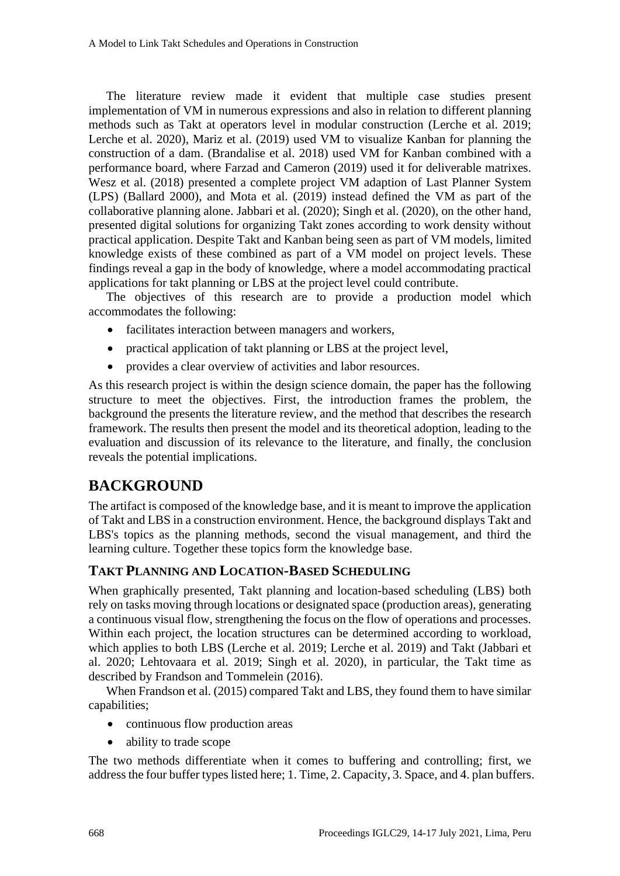The literature review made it evident that multiple case studies present implementation of VM in numerous expressions and also in relation to different planning methods such as Takt at operators level in modular construction (Lerche et al. 2019; Lerche et al. 2020), Mariz et al. (2019) used VM to visualize Kanban for planning the construction of a dam. (Brandalise et al. 2018) used VM for Kanban combined with a performance board, where Farzad and Cameron (2019) used it for deliverable matrixes. Wesz et al. (2018) presented a complete project VM adaption of Last Planner System (LPS) (Ballard 2000), and Mota et al. (2019) instead defined the VM as part of the collaborative planning alone. Jabbari et al. (2020); Singh et al. (2020), on the other hand, presented digital solutions for organizing Takt zones according to work density without practical application. Despite Takt and Kanban being seen as part of VM models, limited knowledge exists of these combined as part of a VM model on project levels. These findings reveal a gap in the body of knowledge, where a model accommodating practical applications for takt planning or LBS at the project level could contribute.

The objectives of this research are to provide a production model which accommodates the following:

- facilitates interaction between managers and workers,
- practical application of takt planning or LBS at the project level,
- provides a clear overview of activities and labor resources.

As this research project is within the design science domain, the paper has the following structure to meet the objectives. First, the introduction frames the problem, the background the presents the literature review, and the method that describes the research framework. The results then present the model and its theoretical adoption, leading to the evaluation and discussion of its relevance to the literature, and finally, the conclusion reveals the potential implications.

### **BACKGROUND**

The artifact is composed of the knowledge base, and it is meant to improve the application of Takt and LBS in a construction environment. Hence, the background displays Takt and LBS's topics as the planning methods, second the visual management, and third the learning culture. Together these topics form the knowledge base.

#### **TAKT PLANNING AND LOCATION-BASED SCHEDULING**

When graphically presented, Takt planning and location-based scheduling (LBS) both rely on tasks moving through locations or designated space (production areas), generating a continuous visual flow, strengthening the focus on the flow of operations and processes. Within each project, the location structures can be determined according to workload, which applies to both LBS (Lerche et al. 2019; Lerche et al. 2019) and Takt (Jabbari et al. 2020; Lehtovaara et al. 2019; Singh et al. 2020), in particular, the Takt time as described by Frandson and Tommelein (2016).

When Frandson et al. (2015) compared Takt and LBS, they found them to have similar capabilities;

- continuous flow production areas
- ability to trade scope

The two methods differentiate when it comes to buffering and controlling; first, we address the four buffer types listed here; 1. Time, 2. Capacity, 3. Space, and 4. plan buffers.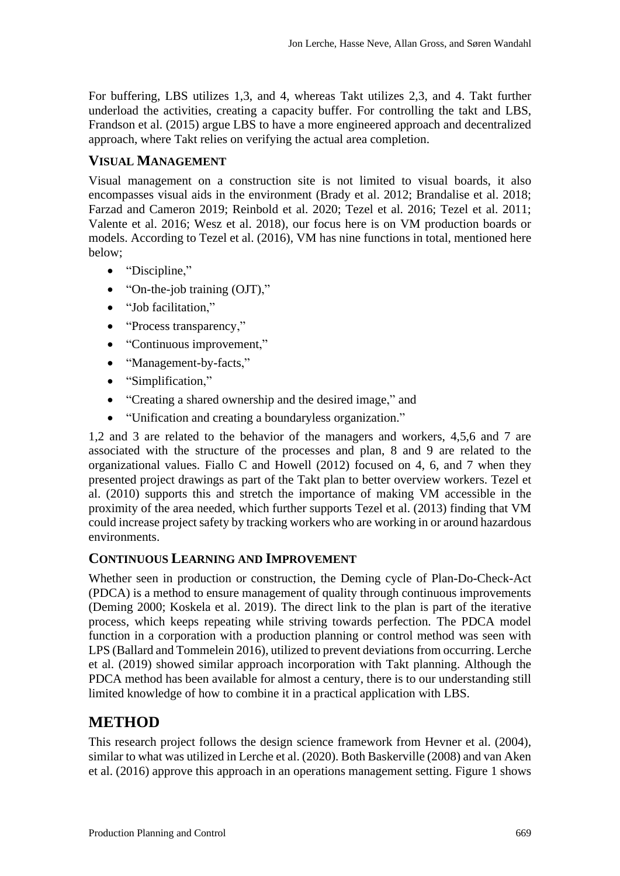For buffering, LBS utilizes 1,3, and 4, whereas Takt utilizes 2,3, and 4. Takt further underload the activities, creating a capacity buffer. For controlling the takt and LBS, Frandson et al. (2015) argue LBS to have a more engineered approach and decentralized approach, where Takt relies on verifying the actual area completion.

### **VISUAL MANAGEMENT**

Visual management on a construction site is not limited to visual boards, it also encompasses visual aids in the environment (Brady et al. 2012; Brandalise et al. 2018; Farzad and Cameron 2019; Reinbold et al. 2020; Tezel et al. 2016; Tezel et al. 2011; Valente et al. 2016; Wesz et al. 2018), our focus here is on VM production boards or models. According to Tezel et al. (2016), VM has nine functions in total, mentioned here below;

- "Discipline."
- "On-the-job training (OJT),"
- "Job facilitation,"
- "Process transparency,"
- "Continuous improvement,"
- "Management-by-facts,"
- "Simplification,"
- "Creating a shared ownership and the desired image," and
- "Unification and creating a boundaryless organization."

1,2 and 3 are related to the behavior of the managers and workers, 4,5,6 and 7 are associated with the structure of the processes and plan, 8 and 9 are related to the organizational values. Fiallo C and Howell (2012) focused on 4, 6, and 7 when they presented project drawings as part of the Takt plan to better overview workers. Tezel et al. (2010) supports this and stretch the importance of making VM accessible in the proximity of the area needed, which further supports Tezel et al. (2013) finding that VM could increase project safety by tracking workers who are working in or around hazardous environments.

### **CONTINUOUS LEARNING AND IMPROVEMENT**

Whether seen in production or construction, the Deming cycle of Plan-Do-Check-Act (PDCA) is a method to ensure management of quality through continuous improvements (Deming 2000; Koskela et al. 2019). The direct link to the plan is part of the iterative process, which keeps repeating while striving towards perfection. The PDCA model function in a corporation with a production planning or control method was seen with LPS (Ballard and Tommelein 2016), utilized to prevent deviations from occurring. Lerche et al. (2019) showed similar approach incorporation with Takt planning. Although the PDCA method has been available for almost a century, there is to our understanding still limited knowledge of how to combine it in a practical application with LBS.

### **METHOD**

This research project follows the design science framework from Hevner et al. (2004), similar to what was utilized in Lerche et al. (2020). Both Baskerville (2008) and van Aken et al. (2016) approve this approach in an operations management setting. Figure 1 shows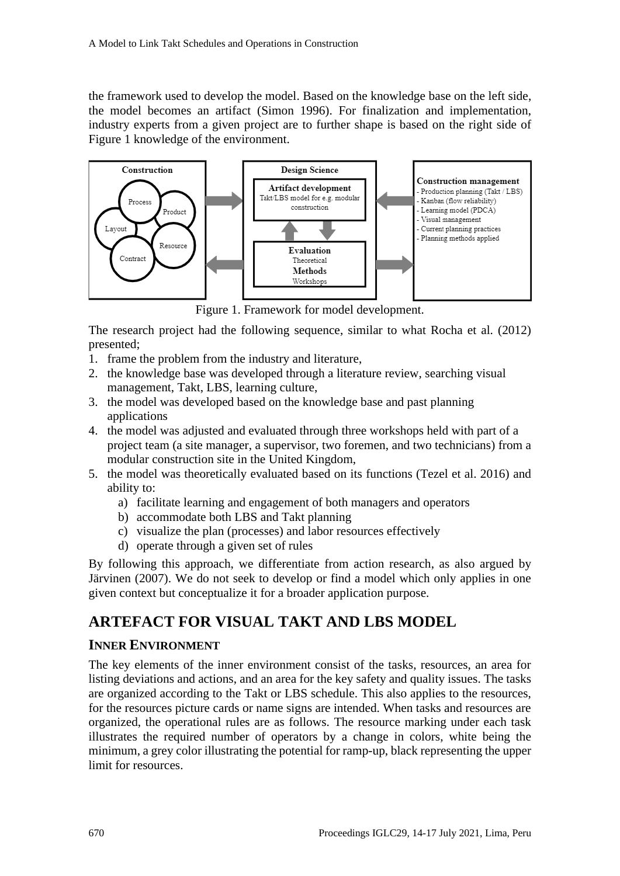the framework used to develop the model. Based on the knowledge base on the left side, the model becomes an artifact (Simon 1996). For finalization and implementation, industry experts from a given project are to further shape is based on the right side of Figure 1 knowledge of the environment.



Figure 1. Framework for model development.

The research project had the following sequence, similar to what Rocha et al. (2012) presented;

- 1. frame the problem from the industry and literature,
- 2. the knowledge base was developed through a literature review, searching visual management, Takt, LBS, learning culture,
- 3. the model was developed based on the knowledge base and past planning applications
- 4. the model was adjusted and evaluated through three workshops held with part of a project team (a site manager, a supervisor, two foremen, and two technicians) from a modular construction site in the United Kingdom,
- 5. the model was theoretically evaluated based on its functions (Tezel et al. 2016) and ability to:
	- a) facilitate learning and engagement of both managers and operators
	- b) accommodate both LBS and Takt planning
	- c) visualize the plan (processes) and labor resources effectively
	- d) operate through a given set of rules

By following this approach, we differentiate from action research, as also argued by Järvinen (2007). We do not seek to develop or find a model which only applies in one given context but conceptualize it for a broader application purpose.

### **ARTEFACT FOR VISUAL TAKT AND LBS MODEL**

#### **INNER ENVIRONMENT**

The key elements of the inner environment consist of the tasks, resources, an area for listing deviations and actions, and an area for the key safety and quality issues. The tasks are organized according to the Takt or LBS schedule. This also applies to the resources, for the resources picture cards or name signs are intended. When tasks and resources are organized, the operational rules are as follows. The resource marking under each task illustrates the required number of operators by a change in colors, white being the minimum, a grey color illustrating the potential for ramp-up, black representing the upper limit for resources.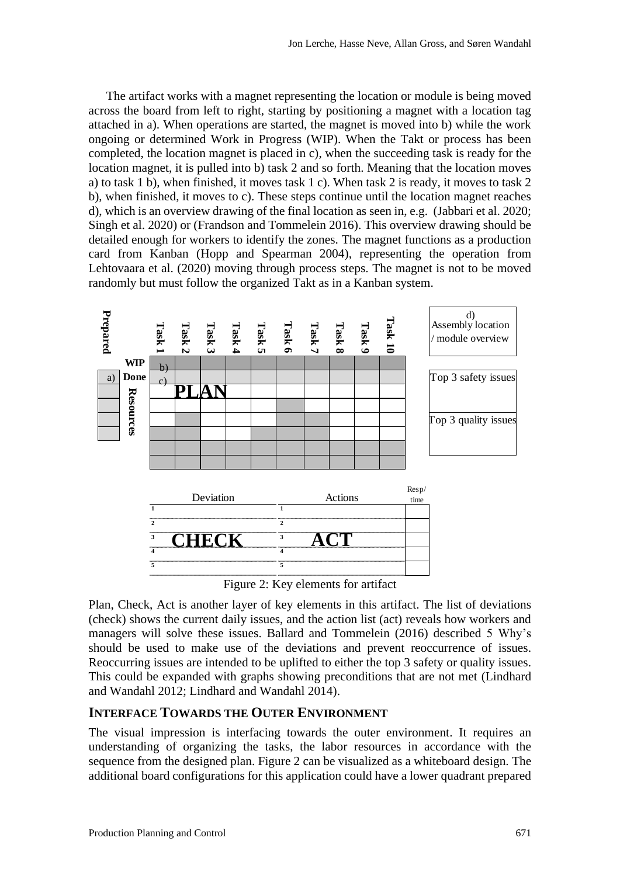The artifact works with a magnet representing the location or module is being moved across the board from left to right, starting by positioning a magnet with a location tag attached in a). When operations are started, the magnet is moved into b) while the work ongoing or determined Work in Progress (WIP). When the Takt or process has been completed, the location magnet is placed in c), when the succeeding task is ready for the location magnet, it is pulled into b) task 2 and so forth. Meaning that the location moves a) to task 1 b), when finished, it moves task 1 c). When task 2 is ready, it moves to task 2 b), when finished, it moves to c). These steps continue until the location magnet reaches d), which is an overview drawing of the final location as seen in, e.g. (Jabbari et al. 2020; Singh et al. 2020) or (Frandson and Tommelein 2016). This overview drawing should be detailed enough for workers to identify the zones. The magnet functions as a production card from Kanban (Hopp and Spearman 2004), representing the operation from Lehtovaara et al. (2020) moving through process steps. The magnet is not to be moved randomly but must follow the organized Takt as in a Kanban system.



Figure 2: Key elements for artifact

Plan, Check, Act is another layer of key elements in this artifact. The list of deviations (check) shows the current daily issues, and the action list (act) reveals how workers and managers will solve these issues. Ballard and Tommelein (2016) described 5 Why's should be used to make use of the deviations and prevent reoccurrence of issues. Reoccurring issues are intended to be uplifted to either the top 3 safety or quality issues. This could be expanded with graphs showing preconditions that are not met (Lindhard and Wandahl 2012; Lindhard and Wandahl 2014).

#### **INTERFACE TOWARDS THE OUTER ENVIRONMENT**

The visual impression is interfacing towards the outer environment. It requires an understanding of organizing the tasks, the labor resources in accordance with the sequence from the designed plan. Figure 2 can be visualized as a whiteboard design. The additional board configurations for this application could have a lower quadrant prepared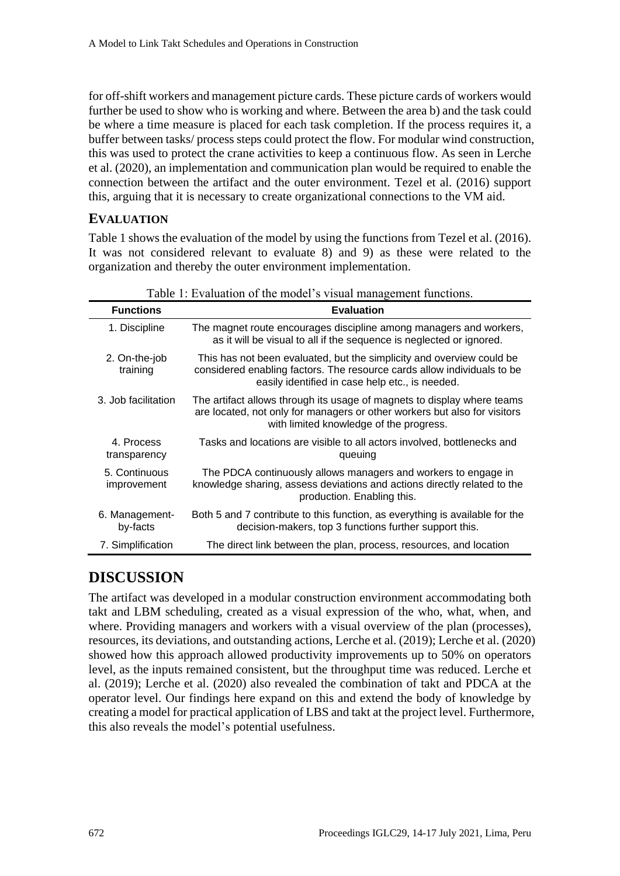for off-shift workers and management picture cards. These picture cards of workers would further be used to show who is working and where. Between the area b) and the task could be where a time measure is placed for each task completion. If the process requires it, a buffer between tasks/ process steps could protect the flow. For modular wind construction, this was used to protect the crane activities to keep a continuous flow. As seen in Lerche et al. (2020), an implementation and communication plan would be required to enable the connection between the artifact and the outer environment. Tezel et al. (2016) support this, arguing that it is necessary to create organizational connections to the VM aid.

### **EVALUATION**

Table 1 shows the evaluation of the model by using the functions from Tezel et al. (2016). It was not considered relevant to evaluate 8) and 9) as these were related to the organization and thereby the outer environment implementation.

| Table 1: Evaluation of the model's visual management functions. |                                                                                                                                                                                                     |
|-----------------------------------------------------------------|-----------------------------------------------------------------------------------------------------------------------------------------------------------------------------------------------------|
| <b>Functions</b>                                                | <b>Evaluation</b>                                                                                                                                                                                   |
| 1. Discipline                                                   | The magnet route encourages discipline among managers and workers,<br>as it will be visual to all if the sequence is neglected or ignored.                                                          |
| 2. On-the-job<br>training                                       | This has not been evaluated, but the simplicity and overview could be<br>considered enabling factors. The resource cards allow individuals to be<br>easily identified in case help etc., is needed. |
| 3. Job facilitation                                             | The artifact allows through its usage of magnets to display where teams<br>are located, not only for managers or other workers but also for visitors<br>with limited knowledge of the progress.     |
| 4. Process<br>transparency                                      | Tasks and locations are visible to all actors involved, bottlenecks and<br>queuing                                                                                                                  |
| 5. Continuous<br>improvement                                    | The PDCA continuously allows managers and workers to engage in<br>knowledge sharing, assess deviations and actions directly related to the<br>production. Enabling this.                            |
| 6. Management-<br>by-facts                                      | Both 5 and 7 contribute to this function, as everything is available for the<br>decision-makers, top 3 functions further support this.                                                              |
| 7. Simplification                                               | The direct link between the plan, process, resources, and location                                                                                                                                  |

 $T_{\text{total}}$  :  $T_{\text{total}}$  management functions.

## **DISCUSSION**

The artifact was developed in a modular construction environment accommodating both takt and LBM scheduling, created as a visual expression of the who, what, when, and where. Providing managers and workers with a visual overview of the plan (processes), resources, its deviations, and outstanding actions, Lerche et al. (2019); Lerche et al. (2020) showed how this approach allowed productivity improvements up to 50% on operators level, as the inputs remained consistent, but the throughput time was reduced. Lerche et al. (2019); Lerche et al. (2020) also revealed the combination of takt and PDCA at the operator level. Our findings here expand on this and extend the body of knowledge by creating a model for practical application of LBS and takt at the project level. Furthermore, this also reveals the model's potential usefulness.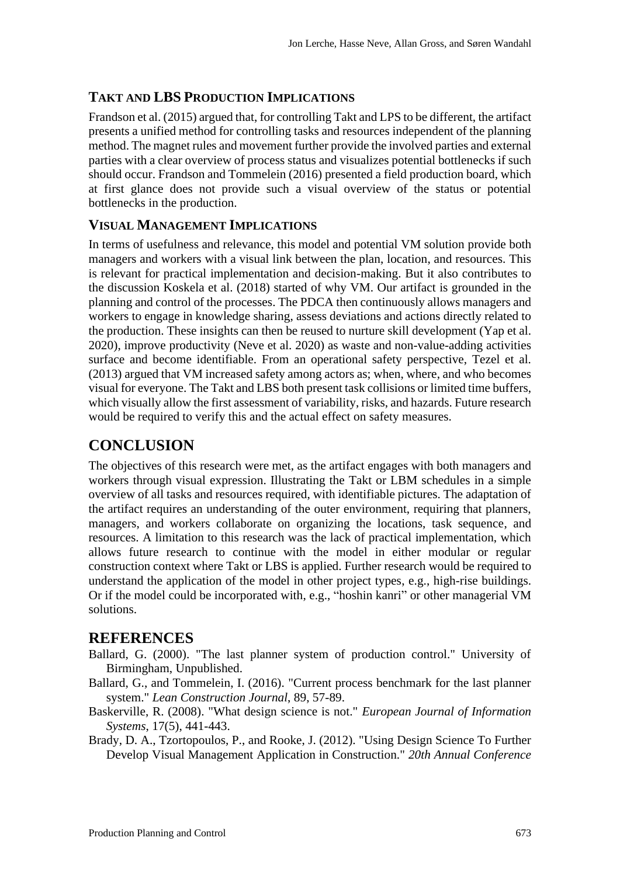#### **TAKT AND LBS PRODUCTION IMPLICATIONS**

Frandson et al. (2015) argued that, for controlling Takt and LPS to be different, the artifact presents a unified method for controlling tasks and resources independent of the planning method. The magnet rules and movement further provide the involved parties and external parties with a clear overview of process status and visualizes potential bottlenecks if such should occur. Frandson and Tommelein (2016) presented a field production board, which at first glance does not provide such a visual overview of the status or potential bottlenecks in the production.

#### **VISUAL MANAGEMENT IMPLICATIONS**

In terms of usefulness and relevance, this model and potential VM solution provide both managers and workers with a visual link between the plan, location, and resources. This is relevant for practical implementation and decision-making. But it also contributes to the discussion Koskela et al. (2018) started of why VM. Our artifact is grounded in the planning and control of the processes. The PDCA then continuously allows managers and workers to engage in knowledge sharing, assess deviations and actions directly related to the production. These insights can then be reused to nurture skill development (Yap et al. 2020), improve productivity (Neve et al. 2020) as waste and non-value-adding activities surface and become identifiable. From an operational safety perspective, Tezel et al. (2013) argued that VM increased safety among actors as; when, where, and who becomes visual for everyone. The Takt and LBS both present task collisions or limited time buffers, which visually allow the first assessment of variability, risks, and hazards. Future research would be required to verify this and the actual effect on safety measures.

### **CONCLUSION**

The objectives of this research were met, as the artifact engages with both managers and workers through visual expression. Illustrating the Takt or LBM schedules in a simple overview of all tasks and resources required, with identifiable pictures. The adaptation of the artifact requires an understanding of the outer environment, requiring that planners, managers, and workers collaborate on organizing the locations, task sequence, and resources. A limitation to this research was the lack of practical implementation, which allows future research to continue with the model in either modular or regular construction context where Takt or LBS is applied. Further research would be required to understand the application of the model in other project types, e.g., high-rise buildings. Or if the model could be incorporated with, e.g., "hoshin kanri" or other managerial VM solutions.

#### **REFERENCES**

- Ballard, G. (2000). "The last planner system of production control." University of Birmingham, Unpublished.
- Ballard, G., and Tommelein, I. (2016). "Current process benchmark for the last planner system." *Lean Construction Journal*, 89, 57-89.
- Baskerville, R. (2008). "What design science is not." *European Journal of Information Systems*, 17(5), 441-443.
- Brady, D. A., Tzortopoulos, P., and Rooke, J. (2012). "Using Design Science To Further Develop Visual Management Application in Construction." *20th Annual Conference*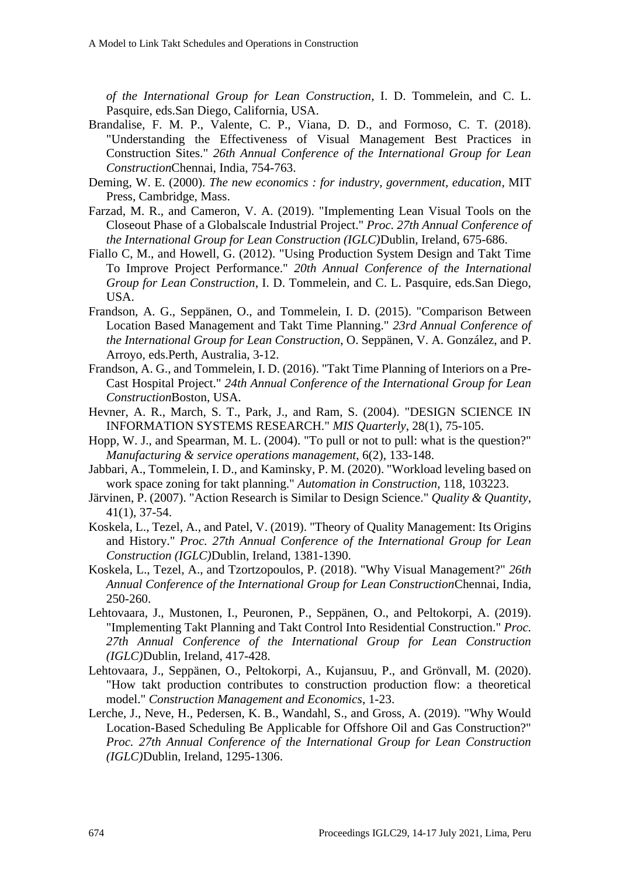*of the International Group for Lean Construction*, I. D. Tommelein, and C. L. Pasquire, eds.San Diego, California, USA.

- Brandalise, F. M. P., Valente, C. P., Viana, D. D., and Formoso, C. T. (2018). "Understanding the Effectiveness of Visual Management Best Practices in Construction Sites." *26th Annual Conference of the International Group for Lean Construction*Chennai, India, 754-763.
- Deming, W. E. (2000). *The new economics : for industry, government, education*, MIT Press, Cambridge, Mass.
- Farzad, M. R., and Cameron, V. A. (2019). "Implementing Lean Visual Tools on the Closeout Phase of a Globalscale Industrial Project." *Proc. 27th Annual Conference of the International Group for Lean Construction (IGLC)*Dublin, Ireland, 675-686.
- Fiallo C, M., and Howell, G. (2012). "Using Production System Design and Takt Time To Improve Project Performance." *20th Annual Conference of the International Group for Lean Construction*, I. D. Tommelein, and C. L. Pasquire, eds.San Diego, USA.
- Frandson, A. G., Seppänen, O., and Tommelein, I. D. (2015). "Comparison Between Location Based Management and Takt Time Planning." *23rd Annual Conference of the International Group for Lean Construction*, O. Seppänen, V. A. González, and P. Arroyo, eds.Perth, Australia, 3-12.
- Frandson, A. G., and Tommelein, I. D. (2016). "Takt Time Planning of Interiors on a Pre-Cast Hospital Project." *24th Annual Conference of the International Group for Lean Construction*Boston, USA.
- Hevner, A. R., March, S. T., Park, J., and Ram, S. (2004). "DESIGN SCIENCE IN INFORMATION SYSTEMS RESEARCH." *MIS Quarterly*, 28(1), 75-105.
- Hopp, W. J., and Spearman, M. L. (2004). "To pull or not to pull: what is the question?" *Manufacturing & service operations management*, 6(2), 133-148.
- Jabbari, A., Tommelein, I. D., and Kaminsky, P. M. (2020). "Workload leveling based on work space zoning for takt planning." *Automation in Construction*, 118, 103223.
- Järvinen, P. (2007). "Action Research is Similar to Design Science." *Quality & Quantity*, 41(1), 37-54.
- Koskela, L., Tezel, A., and Patel, V. (2019). "Theory of Quality Management: Its Origins and History." *Proc. 27th Annual Conference of the International Group for Lean Construction (IGLC)*Dublin, Ireland, 1381-1390.
- Koskela, L., Tezel, A., and Tzortzopoulos, P. (2018). "Why Visual Management?" *26th Annual Conference of the International Group for Lean Construction*Chennai, India, 250-260.
- Lehtovaara, J., Mustonen, I., Peuronen, P., Seppänen, O., and Peltokorpi, A. (2019). "Implementing Takt Planning and Takt Control Into Residential Construction." *Proc. 27th Annual Conference of the International Group for Lean Construction (IGLC)*Dublin, Ireland, 417-428.
- Lehtovaara, J., Seppänen, O., Peltokorpi, A., Kujansuu, P., and Grönvall, M. (2020). "How takt production contributes to construction production flow: a theoretical model." *Construction Management and Economics*, 1-23.
- Lerche, J., Neve, H., Pedersen, K. B., Wandahl, S., and Gross, A. (2019). "Why Would Location-Based Scheduling Be Applicable for Offshore Oil and Gas Construction?" *Proc. 27th Annual Conference of the International Group for Lean Construction (IGLC)*Dublin, Ireland, 1295-1306.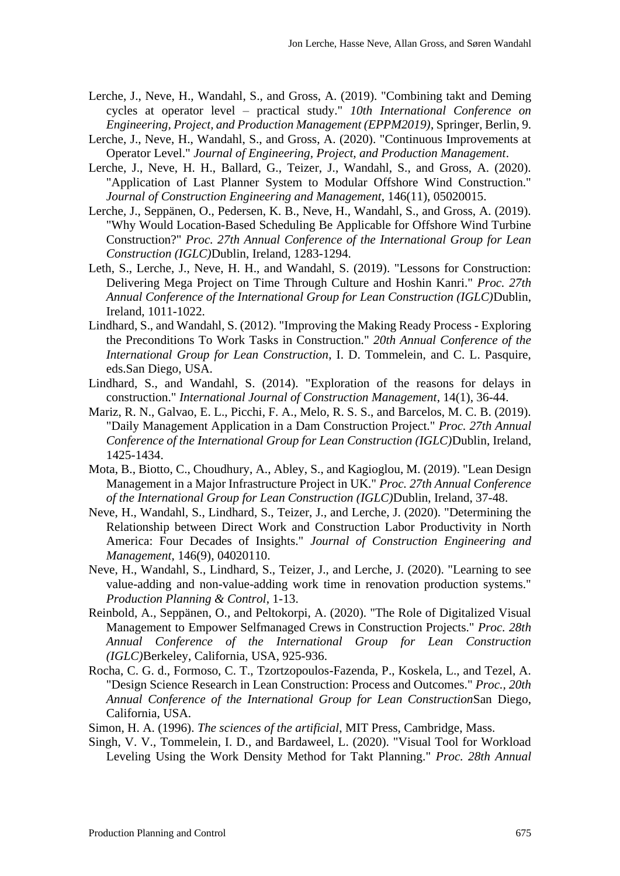- Lerche, J., Neve, H., Wandahl, S., and Gross, A. (2019). "Combining takt and Deming cycles at operator level – practical study." *10th International Conference on Engineering, Project, and Production Management (EPPM2019)*, Springer, Berlin, 9.
- Lerche, J., Neve, H., Wandahl, S., and Gross, A. (2020). "Continuous Improvements at Operator Level." *Journal of Engineering, Project, and Production Management*.
- Lerche, J., Neve, H. H., Ballard, G., Teizer, J., Wandahl, S., and Gross, A. (2020). "Application of Last Planner System to Modular Offshore Wind Construction." *Journal of Construction Engineering and Management*, 146(11), 05020015.
- Lerche, J., Seppänen, O., Pedersen, K. B., Neve, H., Wandahl, S., and Gross, A. (2019). "Why Would Location-Based Scheduling Be Applicable for Offshore Wind Turbine Construction?" *Proc. 27th Annual Conference of the International Group for Lean Construction (IGLC)*Dublin, Ireland, 1283-1294.
- Leth, S., Lerche, J., Neve, H. H., and Wandahl, S. (2019). "Lessons for Construction: Delivering Mega Project on Time Through Culture and Hoshin Kanri." *Proc. 27th Annual Conference of the International Group for Lean Construction (IGLC)*Dublin, Ireland, 1011-1022.
- Lindhard, S., and Wandahl, S. (2012). "Improving the Making Ready Process Exploring the Preconditions To Work Tasks in Construction." *20th Annual Conference of the International Group for Lean Construction*, I. D. Tommelein, and C. L. Pasquire, eds.San Diego, USA.
- Lindhard, S., and Wandahl, S. (2014). "Exploration of the reasons for delays in construction." *International Journal of Construction Management*, 14(1), 36-44.
- Mariz, R. N., Galvao, E. L., Picchi, F. A., Melo, R. S. S., and Barcelos, M. C. B. (2019). "Daily Management Application in a Dam Construction Project." *Proc. 27th Annual Conference of the International Group for Lean Construction (IGLC)*Dublin, Ireland, 1425-1434.
- Mota, B., Biotto, C., Choudhury, A., Abley, S., and Kagioglou, M. (2019). "Lean Design Management in a Major Infrastructure Project in UK." *Proc. 27th Annual Conference of the International Group for Lean Construction (IGLC)*Dublin, Ireland, 37-48.
- Neve, H., Wandahl, S., Lindhard, S., Teizer, J., and Lerche, J. (2020). "Determining the Relationship between Direct Work and Construction Labor Productivity in North America: Four Decades of Insights." *Journal of Construction Engineering and Management*, 146(9), 04020110.
- Neve, H., Wandahl, S., Lindhard, S., Teizer, J., and Lerche, J. (2020). "Learning to see value-adding and non-value-adding work time in renovation production systems." *Production Planning & Control*, 1-13.
- Reinbold, A., Seppänen, O., and Peltokorpi, A. (2020). "The Role of Digitalized Visual Management to Empower Selfmanaged Crews in Construction Projects." *Proc. 28th Annual Conference of the International Group for Lean Construction (IGLC)*Berkeley, California, USA, 925-936.
- Rocha, C. G. d., Formoso, C. T., Tzortzopoulos-Fazenda, P., Koskela, L., and Tezel, A. "Design Science Research in Lean Construction: Process and Outcomes." *Proc., 20th Annual Conference of the International Group for Lean Construction*San Diego, California, USA.

Simon, H. A. (1996). *The sciences of the artificial*, MIT Press, Cambridge, Mass.

Singh, V. V., Tommelein, I. D., and Bardaweel, L. (2020). "Visual Tool for Workload Leveling Using the Work Density Method for Takt Planning." *Proc. 28th Annual*